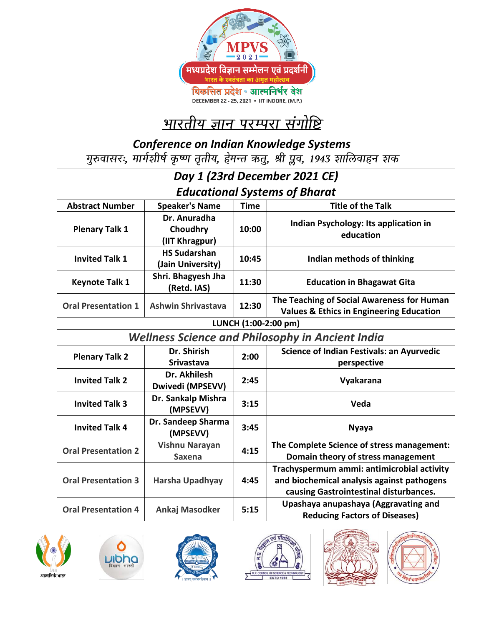

# <u>भारतीय ज्ञान परम्परा संगोष्टि</u>

*Conference on Indian Knowledge Systems*

| Day 1 (23rd December 2021 CE)                           |                                            |             |                                                                                                                                    |  |  |
|---------------------------------------------------------|--------------------------------------------|-------------|------------------------------------------------------------------------------------------------------------------------------------|--|--|
| <b>Educational Systems of Bharat</b>                    |                                            |             |                                                                                                                                    |  |  |
| <b>Abstract Number</b>                                  | <b>Speaker's Name</b>                      | <b>Time</b> | <b>Title of the Talk</b>                                                                                                           |  |  |
| <b>Plenary Talk 1</b>                                   | Dr. Anuradha<br>Choudhry<br>(IIT Khragpur) | 10:00       | Indian Psychology: Its application in<br>education                                                                                 |  |  |
| <b>Invited Talk 1</b>                                   | <b>HS Sudarshan</b><br>(Jain University)   | 10:45       | Indian methods of thinking                                                                                                         |  |  |
| <b>Keynote Talk 1</b>                                   | Shri. Bhagyesh Jha<br>(Retd. IAS)          | 11:30       | <b>Education in Bhagawat Gita</b>                                                                                                  |  |  |
| <b>Oral Presentation 1</b>                              | <b>Ashwin Shrivastava</b>                  | 12:30       | The Teaching of Social Awareness for Human<br><b>Values &amp; Ethics in Engineering Education</b>                                  |  |  |
| LUNCH (1:00-2:00 pm)                                    |                                            |             |                                                                                                                                    |  |  |
| <b>Wellness Science and Philosophy in Ancient India</b> |                                            |             |                                                                                                                                    |  |  |
| <b>Plenary Talk 2</b>                                   | Dr. Shirish<br><b>Srivastava</b>           | 2:00        | <b>Science of Indian Festivals: an Ayurvedic</b><br>perspective                                                                    |  |  |
| <b>Invited Talk 2</b>                                   | Dr. Akhilesh<br>Dwivedi (MPSEVV)           | 2:45        | Vyakarana                                                                                                                          |  |  |
| <b>Invited Talk 3</b>                                   | Dr. Sankalp Mishra<br>(MPSEVV)             | 3:15        | Veda                                                                                                                               |  |  |
| <b>Invited Talk 4</b>                                   | Dr. Sandeep Sharma<br>(MPSEVV)             | 3:45        | <b>Nyaya</b>                                                                                                                       |  |  |
| <b>Oral Presentation 2</b>                              | <b>Vishnu Narayan</b><br><b>Saxena</b>     | 4:15        | The Complete Science of stress management:<br>Domain theory of stress management                                                   |  |  |
| <b>Oral Presentation 3</b>                              | Harsha Upadhyay                            | 4:45        | Trachyspermum ammi: antimicrobial activity<br>and biochemical analysis against pathogens<br>causing Gastrointestinal disturbances. |  |  |
| <b>Oral Presentation 4</b>                              | Ankaj Masodker                             | 5:15        | Upashaya anupashaya (Aggravating and<br><b>Reducing Factors of Diseases)</b>                                                       |  |  |











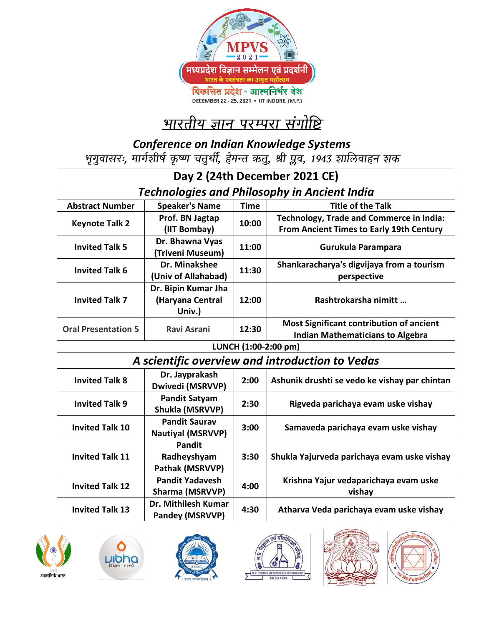

# <u>भारतीय ज्ञान परम्परा संगोष्टि</u>

*Conference on Indian Knowledge Systems*<br>भृगुवासरः, मार्गशीर्ष कृष्ण चतुर्थी, हेमन्त ऋतु, श्री प्लव, 1943 शालिवाहन शक

| Day 2 (24th December 2021 CE)                       |                                                  |             |                                                          |  |  |
|-----------------------------------------------------|--------------------------------------------------|-------------|----------------------------------------------------------|--|--|
| <b>Technologies and Philosophy in Ancient India</b> |                                                  |             |                                                          |  |  |
| <b>Abstract Number</b>                              | <b>Speaker's Name</b>                            | <b>Time</b> | <b>Title of the Talk</b>                                 |  |  |
| <b>Keynote Talk 2</b>                               | Prof. BN Jagtap                                  | 10:00       | Technology, Trade and Commerce in India:                 |  |  |
|                                                     | (IIT Bombay)                                     |             | <b>From Ancient Times to Early 19th Century</b>          |  |  |
| <b>Invited Talk 5</b>                               | Dr. Bhawna Vyas<br>(Triveni Museum)              | 11:00       | Gurukula Parampara                                       |  |  |
| <b>Invited Talk 6</b>                               | Dr. Minakshee<br>(Univ of Allahabad)             | 11:30       | Shankaracharya's digvijaya from a tourism<br>perspective |  |  |
| <b>Invited Talk 7</b>                               | Dr. Bipin Kumar Jha                              |             |                                                          |  |  |
|                                                     | (Haryana Central                                 | 12:00       | Rashtrokarsha nimitt                                     |  |  |
|                                                     | Univ.)                                           |             |                                                          |  |  |
| <b>Oral Presentation 5</b>                          | <b>Ravi Asrani</b>                               | 12:30       | <b>Most Significant contribution of ancient</b>          |  |  |
|                                                     |                                                  |             | <b>Indian Mathematicians to Algebra</b>                  |  |  |
| LUNCH (1:00-2:00 pm)                                |                                                  |             |                                                          |  |  |
| A scientific overview and introduction to Vedas     |                                                  |             |                                                          |  |  |
| <b>Invited Talk 8</b>                               | Dr. Jayprakash<br>Dwivedi (MSRVVP)               | 2:00        | Ashunik drushti se vedo ke vishay par chintan            |  |  |
| <b>Invited Talk 9</b>                               | <b>Pandit Satyam</b><br>Shukla (MSRVVP)          | 2:30        | Rigveda parichaya evam uske vishay                       |  |  |
| <b>Invited Talk 10</b>                              | <b>Pandit Saurav</b><br><b>Nautiyal (MSRVVP)</b> | 3:00        | Samaveda parichaya evam uske vishay                      |  |  |
| <b>Invited Talk 11</b>                              | <b>Pandit</b>                                    |             |                                                          |  |  |
|                                                     | Radheyshyam                                      | 3:30        | Shukla Yajurveda parichaya evam uske vishay              |  |  |
|                                                     | Pathak (MSRVVP)                                  |             |                                                          |  |  |
| <b>Invited Talk 12</b>                              | <b>Pandit Yadavesh</b>                           | 4:00        | Krishna Yajur vedaparichaya evam uske                    |  |  |
|                                                     | Sharma (MSRVVP)                                  |             | vishay                                                   |  |  |
| <b>Invited Talk 13</b>                              | Dr. Mithilesh Kumar<br>Pandey (MSRVVP)           | 4:30        | Atharva Veda parichaya evam uske vishay                  |  |  |